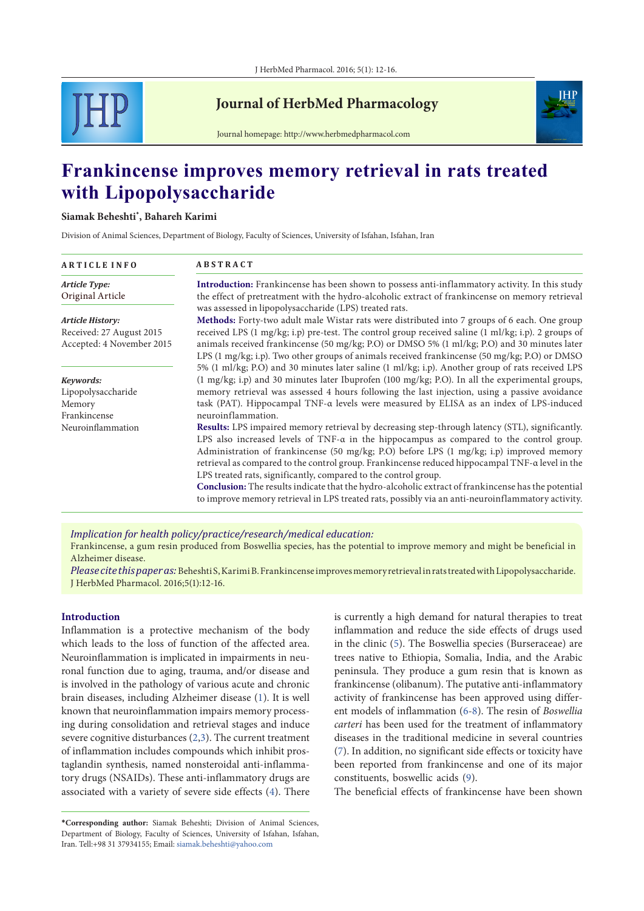

**Journal of HerbMed Pharmacology**



Journal homepage: http://www.herbmedpharmacol.com

# **Frankincense improves memory retrieval in rats treated with Lipopolysaccharide**

**Siamak Beheshti\* , Bahareh Karimi**

Division of Animal Sciences, Department of Biology, Faculty of Sciences, University of Isfahan, Isfahan, Iran

| <b>ARTICLE INFO</b>                                   | <b>ABSTRACT</b>                                                                                                                                                                                                                                                                                                                                                                                                                                                            |
|-------------------------------------------------------|----------------------------------------------------------------------------------------------------------------------------------------------------------------------------------------------------------------------------------------------------------------------------------------------------------------------------------------------------------------------------------------------------------------------------------------------------------------------------|
| Article Type:                                         | Introduction: Frankincense has been shown to possess anti-inflammatory activity. In this study                                                                                                                                                                                                                                                                                                                                                                             |
| Original Article                                      | the effect of pretreatment with the hydro-alcoholic extract of frankincense on memory retrieval                                                                                                                                                                                                                                                                                                                                                                            |
| Article History:                                      | was assessed in lipopolysaccharide (LPS) treated rats.<br>Methods: Forty-two adult male Wistar rats were distributed into 7 groups of 6 each. One group                                                                                                                                                                                                                                                                                                                    |
| Received: 27 August 2015<br>Accepted: 4 November 2015 | received LPS $(1 \text{ mg/kg}; i.p)$ pre-test. The control group received saline $(1 \text{ ml/kg}; i.p)$ . 2 groups of<br>animals received frankincense (50 mg/kg; P.O) or DMSO 5% (1 ml/kg; P.O) and 30 minutes later<br>LPS (1 mg/kg; i.p). Two other groups of animals received frankincense (50 mg/kg; P.O) or DMSO                                                                                                                                                  |
| Keywords:<br>Lipopolysaccharide                       | 5% (1 ml/kg; P.O) and 30 minutes later saline (1 ml/kg; i.p). Another group of rats received LPS<br>(1 mg/kg; i.p) and 30 minutes later Ibuprofen (100 mg/kg; P.O). In all the experimental groups,<br>memory retrieval was assessed 4 hours following the last injection, using a passive avoidance                                                                                                                                                                       |
| Memory<br>Frankincense                                | task (PAT). Hippocampal TNF-a levels were measured by ELISA as an index of LPS-induced<br>neuroinflammation.                                                                                                                                                                                                                                                                                                                                                               |
| Neuroinflammation                                     | <b>Results:</b> LPS impaired memory retrieval by decreasing step-through latency (STL), significantly.<br>LPS also increased levels of $TNF-\alpha$ in the hippocampus as compared to the control group.<br>Administration of frankincense (50 mg/kg; P.O) before LPS (1 mg/kg; i.p) improved memory<br>retrieval as compared to the control group. Frankincense reduced hippocampal TNF-a level in the<br>LPS treated rats, significantly, compared to the control group. |
|                                                       | Conclusion: The results indicate that the hydro-alcoholic extract of frankincense has the potential<br>to improve memory retrieval in LPS treated rats, possibly via an anti-neuroinflammatory activity.                                                                                                                                                                                                                                                                   |

*Implication for health policy/practice/research/medical education:*

Frankincense, a gum resin produced from Boswellia species, has the potential to improve memory and might be beneficial in Alzheimer disease.

*Please cite this paper as:*Beheshti S, Karimi B. Frankincense improves memory retrieval in rats treated with Lipopolysaccharide. J HerbMed Pharmacol. 2016;5(1):12-16.

# **Introduction**

Inflammation is a protective mechanism of the body which leads to the loss of function of the affected area. Neuroinflammation is implicated in impairments in neuronal function due to aging, trauma, and/or disease and is involved in the pathology of various acute and chronic brain diseases, including Alzheimer disease ([1](#page-3-0)). It is well known that neuroinflammation impairs memory processing during consolidation and retrieval stages and induce severe cognitive disturbances [\(2](#page-3-1)[,3](#page-3-2)). The current treatment of inflammation includes compounds which inhibit prostaglandin synthesis, named nonsteroidal anti-inflammatory drugs (NSAIDs). These anti-inflammatory drugs are associated with a variety of severe side effects [\(4\)](#page-4-0). There is currently a high demand for natural therapies to treat inflammation and reduce the side effects of drugs used in the clinic [\(5\)](#page-4-1). The Boswellia species (Burseraceae) are trees native to Ethiopia, Somalia, India, and the Arabic peninsula. They produce a gum resin that is known as frankincense (olibanum). The putative anti-inflammatory activity of frankincense has been approved using different models of inflammation [\(6](#page-4-2)-[8](#page-4-3)). The resin of *Boswellia carteri* has been used for the treatment of inflammatory diseases in the traditional medicine in several countries [\(7](#page-4-4)). In addition, no significant side effects or toxicity have been reported from frankincense and one of its major constituents, boswellic acids [\(9\)](#page-4-5).

The beneficial effects of frankincense have been shown

**<sup>\*</sup>Corresponding author:** Siamak Beheshti; Division of Animal Sciences, Department of Biology, Faculty of Sciences, University of Isfahan, Isfahan, Iran. Tell:+98 31 37934155; Email: siamak.beheshti@yahoo.com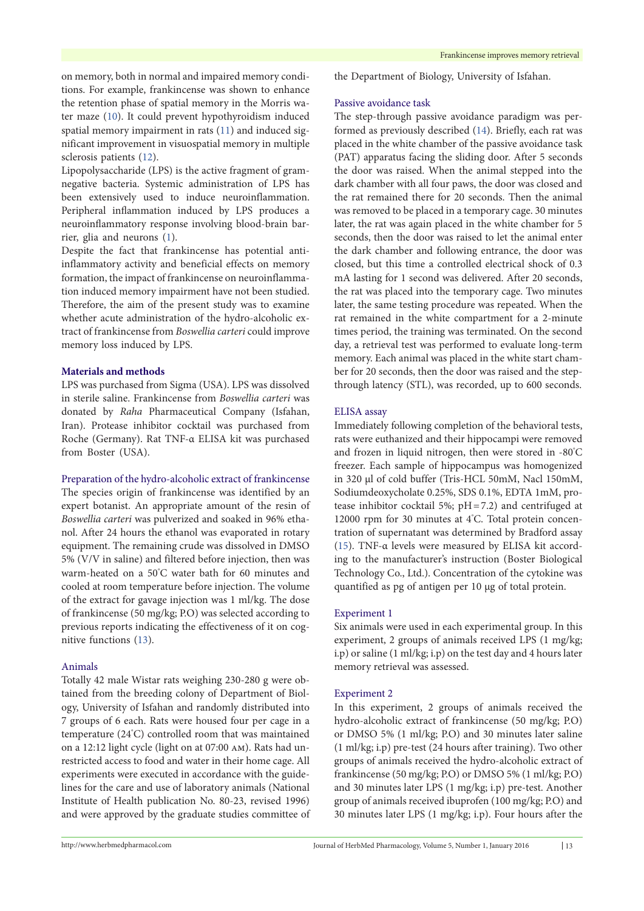on memory, both in normal and impaired memory conditions. For example, frankincense was shown to enhance the retention phase of spatial memory in the Morris water maze ([10\)](#page-4-6). It could prevent hypothyroidism induced spatial memory impairment in rats [\(11](#page-4-7)) and induced significant improvement in visuospatial memory in multiple sclerosis patients ([12](#page-4-8)).

Lipopolysaccharide (LPS) is the active fragment of gramnegative bacteria. Systemic administration of LPS has been extensively used to induce neuroinflammation. Peripheral inflammation induced by LPS produces a neuroinflammatory response involving blood-brain barrier, glia and neurons ([1](#page-3-0)).

Despite the fact that frankincense has potential antiinflammatory activity and beneficial effects on memory formation, the impact of frankincense on neuroinflammation induced memory impairment have not been studied. Therefore, the aim of the present study was to examine whether acute administration of the hydro-alcoholic extract of frankincense from *Boswellia carteri* could improve memory loss induced by LPS.

# **Materials and methods**

LPS was purchased from Sigma (USA). LPS was dissolved in sterile saline. Frankincense from *Boswellia carteri* was donated by *Raha* Pharmaceutical Company (Isfahan, Iran). Protease inhibitor cocktail was purchased from Roche (Germany). Rat TNF-α ELISA kit was purchased from Boster (USA).

Preparation of the hydro-alcoholic extract of frankincense The species origin of frankincense was identified by an expert botanist. An appropriate amount of the resin of *Boswellia carteri* was pulverized and soaked in 96% ethanol. After 24 hours the ethanol was evaporated in rotary equipment. The remaining crude was dissolved in DMSO 5% (V/V in saline) and filtered before injection, then was warm-heated on a 50° C water bath for 60 minutes and cooled at room temperature before injection. The volume of the extract for gavage injection was 1 ml/kg. The dose of frankincense (50 mg/kg; P.O) was selected according to previous reports indicating the effectiveness of it on cognitive functions [\(13\)](#page-4-9).

# Animals

Totally 42 male Wistar rats weighing 230-280 g were obtained from the breeding colony of Department of Biology, University of Isfahan and randomly distributed into 7 groups of 6 each. Rats were housed four per cage in a temperature (24° C) controlled room that was maintained on a 12:12 light cycle (light on at 07:00 am). Rats had unrestricted access to food and water in their home cage. All experiments were executed in accordance with the guidelines for the care and use of laboratory animals (National Institute of Health publication No. 80-23, revised 1996) and were approved by the graduate studies committee of the Department of Biology, University of Isfahan.

# Passive avoidance task

The step-through passive avoidance paradigm was performed as previously described [\(14\)](#page-4-10). Briefly, each rat was placed in the white chamber of the passive avoidance task (PAT) apparatus facing the sliding door. After 5 seconds the door was raised. When the animal stepped into the dark chamber with all four paws, the door was closed and the rat remained there for 20 seconds. Then the animal was removed to be placed in a temporary cage. 30 minutes later, the rat was again placed in the white chamber for 5 seconds, then the door was raised to let the animal enter the dark chamber and following entrance, the door was closed, but this time a controlled electrical shock of 0.3 mA lasting for 1 second was delivered. After 20 seconds, the rat was placed into the temporary cage. Two minutes later, the same testing procedure was repeated. When the rat remained in the white compartment for a 2-minute times period, the training was terminated. On the second day, a retrieval test was performed to evaluate long-term memory. Each animal was placed in the white start chamber for 20 seconds, then the door was raised and the stepthrough latency (STL), was recorded, up to 600 seconds.

#### ELISA assay

Immediately following completion of the behavioral tests, rats were euthanized and their hippocampi were removed and frozen in liquid nitrogen, then were stored in -80° C freezer. Each sample of hippocampus was homogenized in 320 μl of cold buffer (Tris-HCL 50mM, Nacl 150mM, Sodiumdeoxycholate 0.25%, SDS 0.1%, EDTA 1mM, protease inhibitor cocktail 5%;  $pH = 7.2$ ) and centrifuged at 12000 rpm for 30 minutes at 4° C. Total protein concentration of supernatant was determined by Bradford assay [\(15](#page-4-11)). TNF-α levels were measured by ELISA kit according to the manufacturer's instruction (Boster Biological Technology Co., Ltd.). Concentration of the cytokine was quantified as pg of antigen per 10 μg of total protein.

#### Experiment 1

Six animals were used in each experimental group. In this experiment, 2 groups of animals received LPS (1 mg/kg; i.p) or saline (1 ml/kg; i.p) on the test day and 4 hours later memory retrieval was assessed.

# Experiment 2

In this experiment, 2 groups of animals received the hydro-alcoholic extract of frankincense (50 mg/kg; P.O) or DMSO 5% (1 ml/kg; P.O) and 30 minutes later saline (1 ml/kg; i.p) pre-test (24 hours after training). Two other groups of animals received the hydro-alcoholic extract of frankincense (50 mg/kg; P.O) or DMSO 5% (1 ml/kg; P.O) and 30 minutes later LPS (1 mg/kg; i.p) pre-test. Another group of animals received ibuprofen (100 mg/kg; P.O) and 30 minutes later LPS (1 mg/kg; i.p). Four hours after the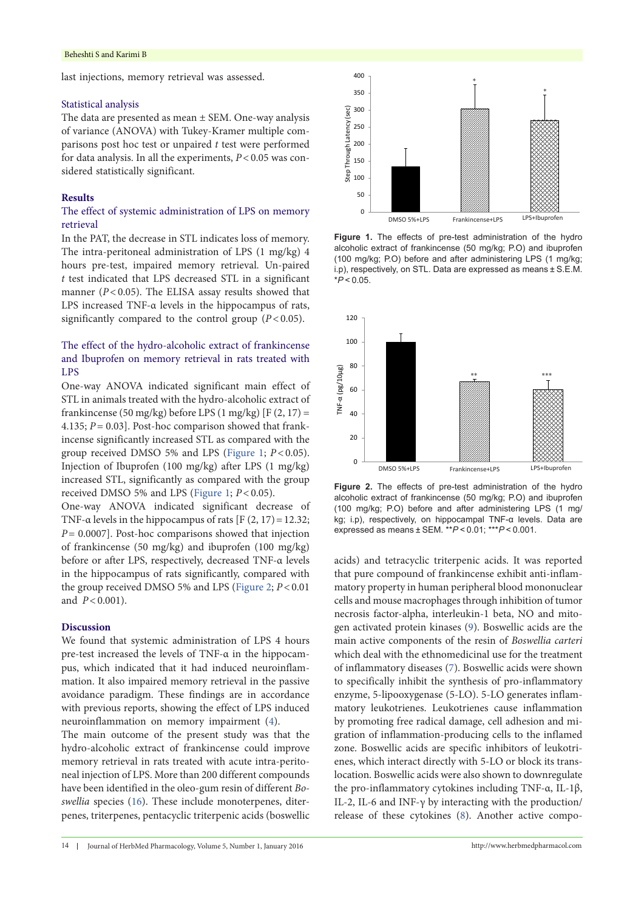# Beheshti S and Karimi B

last injections, memory retrieval was assessed.

#### Statistical analysis

The data are presented as mean ± SEM. One-way analysis of variance (ANOVA) with Tukey-Kramer multiple comparisons post hoc test or unpaired *t* test were performed for data analysis. In all the experiments, *P<*0.05 was considered statistically significant.

# **Results**

# The effect of systemic administration of LPS on memory retrieval

In the PAT, the decrease in STL indicates loss of memory. The intra-peritoneal administration of LPS (1 mg/kg) 4 hours pre-test, impaired memory retrieval. Un-paired *t* test indicated that LPS decreased STL in a significant manner (*P<*0.05). The ELISA assay results showed that LPS increased TNF-α levels in the hippocampus of rats, significantly compared to the control group (*P<*0.05).

# The effect of the hydro-alcoholic extract of frankincense and Ibuprofen on memory retrieval in rats treated with LPS

One-way ANOVA indicated significant main effect of STL in animals treated with the hydro-alcoholic extract of frankincense (50 mg/kg) before LPS (1 mg/kg) [F  $(2, 17)$  = 4.135; *P*= 0.03]. Post-hoc comparison showed that frankincense significantly increased STL as compared with the group received DMSO 5% and LPS ([Figure](#page-2-0) 1; *P<*0.05). Injection of Ibuprofen (100 mg/kg) after LPS (1 mg/kg) increased STL, significantly as compared with the group received DMSO 5% and LPS [\(Figure](#page-2-0) 1; *P<*0.05).

One-way ANOVA indicated significant decrease of TNF- $\alpha$  levels in the hippocampus of rats [F (2, 17) = 12.32; *P*= 0.0007]. Post-hoc comparisons showed that injection of frankincense (50 mg/kg) and ibuprofen (100 mg/kg) before or after LPS, respectively, decreased TNF-α levels in the hippocampus of rats significantly, compared with the group received DMSO 5% and LPS ([Figure](#page-2-1) 2; *P<*0.01 and *P<*0.001).

#### **Discussion**

We found that systemic administration of LPS 4 hours pre-test increased the levels of TNF-α in the hippocampus, which indicated that it had induced neuroinflammation. It also impaired memory retrieval in the passive avoidance paradigm. These findings are in accordance with previous reports, showing the effect of LPS induced neuroinflammation on memory impairment ([4](#page-4-0)).

The main outcome of the present study was that the hydro-alcoholic extract of frankincense could improve memory retrieval in rats treated with acute intra-peritoneal injection of LPS. More than 200 different compounds have been identified in the oleo-gum resin of different *Boswellia* species ([16](#page-4-12)). These include monoterpenes, diterpenes, triterpenes, pentacyclic triterpenic acids (boswellic

<span id="page-2-0"></span>

**Figure 1.** The effects of pre-test administration of the hydro alcoholic extract of frankincense (50 mg/kg; P.O) and ibuprofen (100 mg/kg; P.O) before and after administering LPS (1 mg/kg; i.p), respectively, on STL. Data are expressed as means ± S.E.M. \**P* < 0.05.

<span id="page-2-1"></span>

**Figure 2.** The effects of pre-test administration of the hydro alcoholic extract of frankincense (50 mg/kg; P.O) and ibuprofen (100 mg/kg; P.O) before and after administering LPS (1 mg/ kg; i.p), respectively, on hippocampal TNF-α levels. Data are expressed as means ± SEM. \*\**P* < 0.01; \*\*\**P* < 0.001.

acids) and tetracyclic triterpenic acids. It was reported that pure compound of frankincense exhibit anti-inflammatory property in human peripheral blood mononuclear cells and mouse macrophages through inhibition of tumor necrosis factor-alpha, interleukin-1 beta, NO and mitogen activated protein kinases ([9\)](#page-4-5). Boswellic acids are the main active components of the resin of *Boswellia carteri* which deal with the ethnomedicinal use for the treatment of inflammatory diseases [\(7\)](#page-4-4). Boswellic acids were shown to specifically inhibit the synthesis of pro-inflammatory enzyme, 5-lipooxygenase (5-LO). 5-LO generates inflammatory leukotrienes. Leukotrienes cause inflammation by promoting free radical damage, cell adhesion and migration of inflammation-producing cells to the inflamed zone. Boswellic acids are specific inhibitors of leukotrienes, which interact directly with 5-LO or block its translocation. Boswellic acids were also shown to downregulate the pro-inflammatory cytokines including TNF-α, IL-1β, IL-2, IL-6 and INF-γ by interacting with the production/ release of these cytokines [\(8](#page-4-3)). Another active compo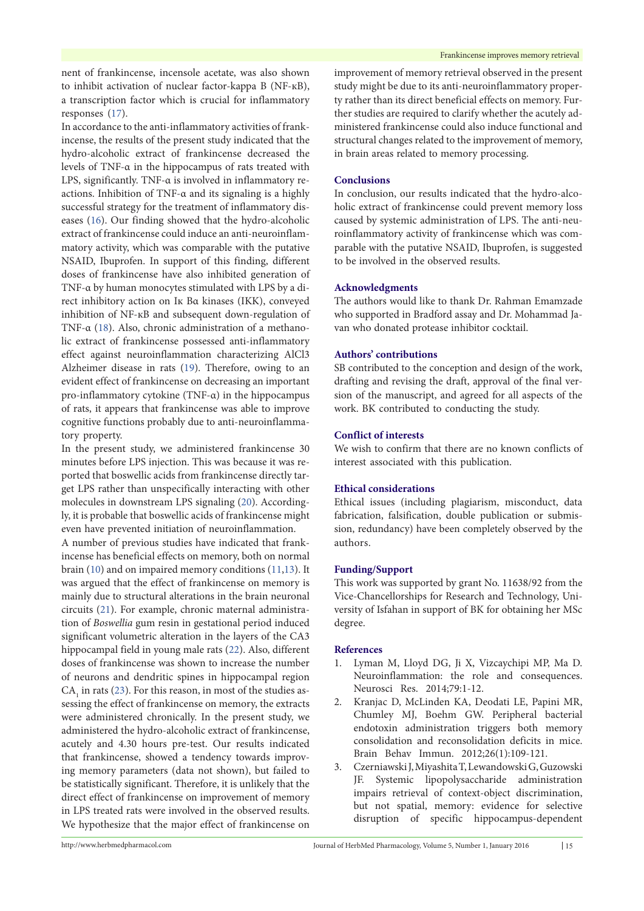nent of frankincense, incensole acetate, was also shown to inhibit activation of nuclear factor-kappa B (NF-кB), a transcription factor which is crucial for inflammatory responses ([17](#page-4-13)).

In accordance to the anti-inflammatory activities of frankincense, the results of the present study indicated that the hydro-alcoholic extract of frankincense decreased the levels of TNF-α in the hippocampus of rats treated with LPS, significantly. TNF-α is involved in inflammatory reactions. Inhibition of TNF-α and its signaling is a highly successful strategy for the treatment of inflammatory diseases ([16](#page-4-12)). Our finding showed that the hydro-alcoholic extract of frankincense could induce an anti-neuroinflammatory activity, which was comparable with the putative NSAID, Ibuprofen. In support of this finding, different doses of frankincense have also inhibited generation of TNF-α by human monocytes stimulated with LPS by a direct inhibitory action on Iк Bα kinases (IKK), conveyed inhibition of NF-кB and subsequent down-regulation of TNF-α ([18](#page-4-14)). Also, chronic administration of a methanolic extract of frankincense possessed anti-inflammatory effect against neuroinflammation characterizing AlCl3 Alzheimer disease in rats [\(19\)](#page-4-15). Therefore, owing to an evident effect of frankincense on decreasing an important pro-inflammatory cytokine (TNF-α) in the hippocampus of rats, it appears that frankincense was able to improve cognitive functions probably due to anti-neuroinflammatory property.

In the present study, we administered frankincense 30 minutes before LPS injection. This was because it was reported that boswellic acids from frankincense directly target LPS rather than unspecifically interacting with other molecules in downstream LPS signaling [\(20\)](#page-4-16). Accordingly, it is probable that boswellic acids of frankincense might even have prevented initiation of neuroinflammation.

A number of previous studies have indicated that frankincense has beneficial effects on memory, both on normal brain [\(10](#page-4-6)) and on impaired memory conditions ([11](#page-4-7),[13](#page-4-9)). It was argued that the effect of frankincense on memory is mainly due to structural alterations in the brain neuronal circuits ([21](#page-4-17)). For example, chronic maternal administration of *Boswellia* gum resin in gestational period induced significant volumetric alteration in the layers of the CA3 hippocampal field in young male rats ([22](#page-4-18)). Also, different doses of frankincense was shown to increase the number of neurons and dendritic spines in hippocampal region  $CA<sub>1</sub>$  in rats ([23](#page-4-19)). For this reason, in most of the studies assessing the effect of frankincense on memory, the extracts were administered chronically. In the present study, we administered the hydro-alcoholic extract of frankincense, acutely and 4.30 hours pre-test. Our results indicated that frankincense, showed a tendency towards improving memory parameters (data not shown), but failed to be statistically significant. Therefore, it is unlikely that the direct effect of frankincense on improvement of memory in LPS treated rats were involved in the observed results. We hypothesize that the major effect of frankincense on

improvement of memory retrieval observed in the present study might be due to its anti-neuroinflammatory property rather than its direct beneficial effects on memory. Further studies are required to clarify whether the acutely administered frankincense could also induce functional and structural changes related to the improvement of memory, in brain areas related to memory processing.

# **Conclusions**

In conclusion, our results indicated that the hydro-alcoholic extract of frankincense could prevent memory loss caused by systemic administration of LPS. The anti-neuroinflammatory activity of frankincense which was comparable with the putative NSAID, Ibuprofen, is suggested to be involved in the observed results.

# **Acknowledgments**

The authors would like to thank Dr. Rahman Emamzade who supported in Bradford assay and Dr. Mohammad Javan who donated protease inhibitor cocktail.

#### **Authors' contributions**

SB contributed to the conception and design of the work, drafting and revising the draft, approval of the final version of the manuscript, and agreed for all aspects of the work. BK contributed to conducting the study.

# **Conflict of interests**

We wish to confirm that there are no known conflicts of interest associated with this publication.

#### **Ethical considerations**

Ethical issues (including plagiarism, misconduct, data fabrication, falsification, double publication or submission, redundancy) have been completely observed by the authors.

# **Funding/Support**

This work was supported by grant No. 11638/92 from the Vice-Chancellorships for Research and Technology, University of Isfahan in support of BK for obtaining her MSc degree.

# **References**

- <span id="page-3-0"></span>1. Lyman M, Lloyd DG, Ji X, Vizcaychipi MP, Ma D. Neuroinflammation: the role and consequences. Neurosci Res. 2014;79:1-12.
- <span id="page-3-1"></span>2. Kranjac D, McLinden KA, Deodati LE, Papini MR, Chumley MJ, Boehm GW. Peripheral bacterial endotoxin administration triggers both memory consolidation and reconsolidation deficits in mice. Brain Behav Immun. 2012;26(1):109-121.
- <span id="page-3-2"></span>3. CzerniawskiJ, Miyashita T, Lewandowski G, Guzowski JF. Systemic lipopolysaccharide administration impairs retrieval of context-object discrimination, but not spatial, memory: evidence for selective disruption of specific hippocampus-dependent